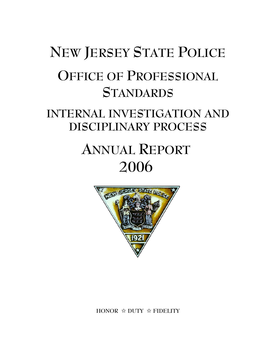# **NEW JERSEY STATE POLICE OFFICE OF PROFESSIONAL STANDARDS**

## **INTERNAL INVESTIGATION AND DISCIPLINARY PROCESS**

## **ANNUAL REPORT 2006**



**HONOR** j **DUTY** j **FIDELITY**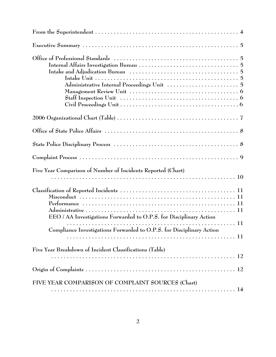| Staff Inspection Unit $\ldots \ldots \ldots \ldots \ldots \ldots \ldots \ldots \ldots \ldots \ldots \ldots$ |
|-------------------------------------------------------------------------------------------------------------|
|                                                                                                             |
|                                                                                                             |
|                                                                                                             |
|                                                                                                             |
| Five Year Comparison of Number of Incidents Reported (Chart)                                                |
| EEO / AA Investigations Forwarded to O.P.S. for Disciplinary Action                                         |
| Compliance Investigations Forwarded to O.P.S. for Disciplinary Action                                       |
| Five Year Breakdown of Incident Classifications (Table)                                                     |
|                                                                                                             |
| FIVE YEAR COMPARISON OF COMPLAINT SOURCES (Chart)                                                           |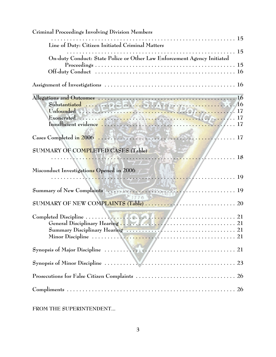| Criminal Proceedings Involving Division Members                         |
|-------------------------------------------------------------------------|
| Line of Duty: Citizen Initiated Criminal Matters                        |
| On-duty Conduct: State Police or Other Law Enforcement Agency Initiated |
|                                                                         |
|                                                                         |
|                                                                         |
| $3 - 58 - 6$<br>SUMMARY OF COMPLETED CASES (Table)<br>$\mathbb{Z}$ . 18 |
| Misconduct Investigations Opened in 2006                                |
| Summary of New Complaints (1998) 1999                                   |
|                                                                         |
|                                                                         |
|                                                                         |
|                                                                         |
|                                                                         |
|                                                                         |

**FROM THE SUPERINTENDENT...**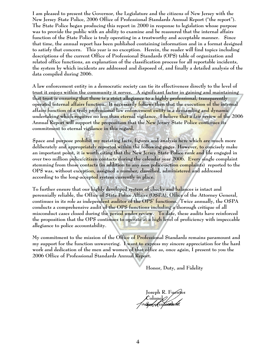**I am pleased to present the Governor, the Legislature and the citizens of New Jersey with the New Jersey State Police, 2006 Office of Professional Standards Annual Report ("the report"). The State Police began producing this report in 2000 in response to legislation whose purpose was to provide the public with an ability to examine and be reassured that the internal affairs function of the State Police is truly operating in a trustworthy and acceptable manner. Since that time, the annual report has been published containing information and in a format designed to satisfy that concern. This year is no exception. Herein, the reader will find topics including descriptions of the current Office of Professional Standards (OPS) table of organization and related office functions, an explanation of the classification process for all reportable incidents, the system by which incidents are addressed and disposed of, and finally a detailed analysis of the data compiled during 2006.**

**A law enforcement entity in a democratic society can tie its effectiveness directly to the level of trust it enjoys within the community it serves. A significant factor in gaining and maintaining that trust is ensuring that there is a strict allegiance to a highly professional, transparently operated internal affairs function. It necessarily follows then that the execution of the internal affairs function of a truly professional law enforcement entity is a demanding and dynamic undertaking which requires no less than eternal vigilance. I believe that a fair review of the 2006 Annual Report will support the proposition that the New Jersey State Police continues its commitment to eternal vigilance in this regard.** 

**Space and purpose prohibit my restating facts, figures and analysis here which are much more deliberately and appropriately reported within the following pages. However, to concisely make an important point, it is worth citing that the New Jersey State Police rank and file engaged in over two million police/citizen contacts during the calendar year 2006. Every single complaint stemming from those contacts (in addition to any non police-action complaints) reported to the OPS was, without exception, assigned a number, classified, administered and addressed according to the long-accepted system currently in place.** 

**To further ensure that our highly developed system of checks and balances is intact and perennially reliable, the Office of State Police Affairs (OSPA), Office of the Attorney General, continues in its role as independent auditor of the OPS' functions. Twice annually, the OSPA conducts a comprehensive audit of the OPS functions including a thorough critique of all misconduct cases closed during the period under review. To date, these audits have reinforced the proposition that the OPS continues to operate at a high level of proficiency with impeccable allegiance to police accountability.**

**My commitment to the mission of the Office of Professional Standards remains paramount and my support for the function unwavering. I want to express my sincere appreciation for the hard work and dedication of the men and women of that office as, once again, I present to you the 2006 Office of Professional Standards Annual Report.** 

**Honor, Duty, and Fidelity**

**Joseph R. Fuentes Colonel Superintendent**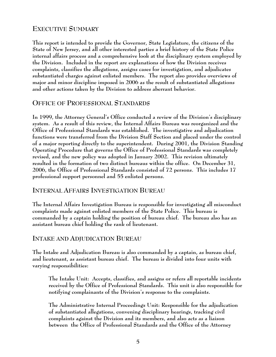## **EXECUTIVE SUMMARY**

**This report is intended to provide the Governor, State Legislature, the citizens of the State of New Jersey, and all other interested parties a brief history of the State Police internal affairs process and a comprehensive look at the disciplinary system employed by the Division. Included in the report are explanations of how the Division receives complaints, classifies the allegations, assigns cases for investigation, and adjudicates substantiated charges against enlisted members. The report also provides overviews of major and minor discipline imposed in 2006 as the result of substantiated allegations and other actions taken by the Division to address aberrant behavior.**

## **OFFICE OF PROFESSIONAL STANDARDS**

**In 1999, the Attorney General's Office conducted a review of the Division's disciplinary system. As a result of this review, the Internal Affairs Bureau was reorganized and the Office of Professional Standards was established. The investigative and adjudication functions were transferred from the Division Staff Section and placed under the control of a major reporting directly to the superintendent. During 2001, the Division Standing Operating Procedure that governs the Office of Professional Standards was completely revised, and the new policy was adopted in January 2002. This revision ultimately resulted in the formation of two distinct bureaus within the office. On December 31, 2006, the Office of Professional Standards consisted of 72 persons. This includes 17 professional support personnel and 55 enlisted persons.**

### **INTERNAL AFFAIRS INVESTIGATION BUREAU**

**The Internal Affairs Investigation Bureau is responsible for investigating all misconduct complaints made against enlisted members of the State Police. This bureau is commanded by a captain holding the position of bureau chief. The bureau also has an assistant bureau chief holding the rank of lieutenant.** 

## **INTAKE AND ADJUDICATION BUREAU**

**The Intake and Adjudication Bureau is also commanded by a captain, as bureau chief, and lieutenant, as assistant bureau chief. The bureau is divided into four units with varying responsibilities:**

**The Intake Unit: Accepts, classifies, and assigns or refers all reportable incidents received by the Office of Professional Standards. This unit is also responsible for notifying complainants of the Division's response to the complaints.** 

**The Administrative Internal Proceedings Unit: Responsible for the adjudication of substantiated allegations, convening disciplinary hearings, tracking civil complaints against the Division and its members, and also acts as a liaison between the Office of Professional Standards and the Office of the Attorney**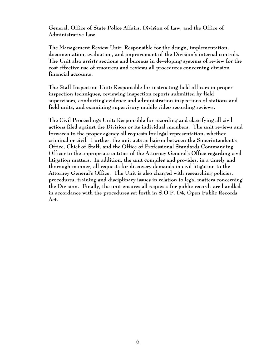**General, Office of State Police Affairs, Division of Law, and the Office of Administrative Law.**

**The Management Review Unit: Responsible for the design, implementation, documentation, evaluation, and improvement of the Division's internal controls. The Unit also assists sections and bureaus in developing systems of review for the cost effective use of resources and reviews all procedures concerning division financial accounts.** 

**The Staff Inspection Unit: Responsible for instructing field officers in proper inspection techniques, reviewing inspection reports submitted by field supervisors, conducting evidence and administration inspections of stations and field units, and examining supervisory mobile video recording reviews.** 

**The Civil Proceedings Unit: Responsible for recording and classifying all civil actions filed against the Division or its individual members. The unit reviews and forwards to the proper agency all requests for legal representation, whether criminal or civil. Further, the unit acts as liaison between the Superintendent's Office, Chief of Staff, and the Office of Professional Standards Commanding Officer to the appropriate entities of the Attorney General's Office regarding civil litigation matters. In addition, the unit compiles and provides, in a timely and thorough manner, all requests for discovery demands in civil litigation to the Attorney General's Office. The Unit is also charged with researching policies, procedures, training and disciplinary issues in relation to legal matters concerning the Division. Finally, the unit ensures all requests for public records are handled in accordance with the procedures set forth in S.O.P. D4, Open Public Records Act.**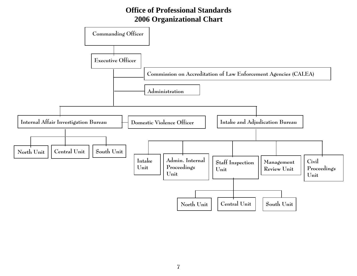## **Office of Professional Standards 2006 Organizational Chart**

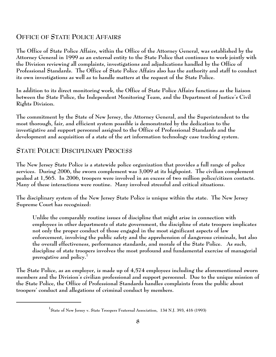## **OFFICE OF STATE POLICE AFFAIRS**

**The Office of State Police Affairs, within the Office of the Attorney General, was established by the Attorney General in 1999 as an external entity to the State Police that continues to work jointly with the Division reviewing all complaints, investigations and adjudications handled by the Office of Professional Standards. The Office of State Police Affairs also has the authority and staff to conduct its own investigations as well as to handle matters at the request of the State Police.** 

**In addition to its direct monitoring work, the Office of State Police Affairs functions as the liaison between the State Police, the Independent Monitoring Team, and the Department of Justice's Civil Rights Division.**

**The commitment by the State of New Jersey, the Attorney General, and the Superintendent to the most thorough, fair, and efficient system possible is demonstrated by the dedication to the investigative and support personnel assigned to the Office of Professional Standards and the development and acquisition of a state of the art information technology case tracking system.**

#### **STATE POLICE DISCIPLINARY PROCESS**

**The New Jersey State Police is a statewide police organization that provides a full range of police services. During 2006, the sworn complement was 3,009 at its highpoint. The civilian complement peaked at 1,565. In 2006, troopers were involved in an excess of two million police/citizen contacts. Many of these interactions were routine. Many involved stressful and critical situations.**

**The disciplinary system of the New Jersey State Police is unique within the state. The New Jersey Supreme Court has recognized:**

**Unlike the comparably routine issues of discipline that might arise in connection with employees in other departments of state government, the discipline of state troopers implicates not only the proper conduct of those engaged in the most significant aspects of law enforcement, involving the public safety and the apprehension of dangerous criminals, but also the overall effectiveness, performance standards, and morale of the State Police. As such, discipline of state troopers involves the most profound and fundamental exercise of managerial prerogative and policy.1**

**The State Police, as an employer, is made up of 4,574 employees including the aforementioned sworn members and the Division's civilian professional and support personnel. Due to the unique mission of the State Police, the Office of Professional Standards handles complaints from the public about troopers' conduct and allegations of criminal conduct by members.** 

**<sup>1</sup> State of New Jersey v. State Troopers Fraternal Association, 134 N.J. 393, 416 (1993)**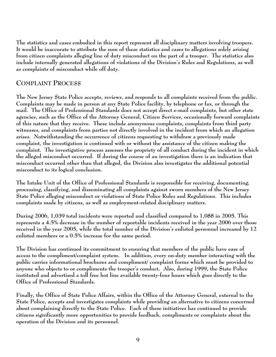**The statistics and cases embodied in this report represent all disciplinary matters involving troopers. It would be inaccurate to attribute the sum of these statistics and cases to allegations solely arising from citizen complaints alleging line of duty misconduct on the part of a trooper. The statistics also include internally generated allegations of violations of the Division's Rules and Regulations, as well as complaints of misconduct while off duty.**

## **COMPLAINT PROCESS**

**The New Jersey State Police accepts, reviews, and responds to all complaints received from the public. Complaints may be made in person at any State Police facility, by telephone or fax, or through the mail. The Office of Professional Standards does not accept direct e-mail complaints, but other state agencies, such as the Office of the Attorney General, Citizen Services, occasionally forward complaints of this nature that they receive. These include anonymous complaints, complaints from third party witnesses, and complaints from parties not directly involved in the incident from which an allegation arises. Notwithstanding the occurrence of citizens requesting to withdraw a previously made complaint, the investigation is continued with or without the assistance of the citizen making the complaint. The investigative process assesses the propriety of all conduct during the incident in which the alleged misconduct occurred. If during the course of an investigation there is an indication that misconduct occurred other than that alleged, the Division also investigates the additional potential misconduct to its logical conclusion.**

**The Intake Unit of the Office of Professional Standards is responsible for receiving, documenting, processing, classifying, and disseminating all complaints against sworn members of the New Jersey State Police alleging misconduct or violations of State Police Rules and Regulations. This includes complaints made by citizens, as well as employment-related disciplinary matters.**

**During 2006, 1,039 total incidents were reported and classified compared to 1,088 in 2005. This represents a 4.5% decrease in the number of reportable incidents received in the year 2006 over those received in the year 2005, while the total number of the Division's enlisted personnel increased by 12 enlisted members or a 0.5% increase for the same period.**

**The Division has continued its commitment to ensuring that members of the public have ease of access to the compliment/complaint system. In addition, every on-duty member interacting with the public carries informational brochures and compliment/ complaint forms which must be provided to anyone who objects to or compliments the trooper's conduct. Also, during 1999, the State Police instituted and advertised a toll free hot line available twenty-four hours which goes directly to the Office of Professional Standards.** 

**Finally, the Office of State Police Affairs, within the Office of the Attorney General, external to the State Police, accepts and investigates complaints while providing an alternative to citizens concerned about complaining directly to the State Police. Each of these initiatives has continued to provide citizens significantly more opportunities to provide feedback, compliments or complaints about the operation of the Division and its personnel.**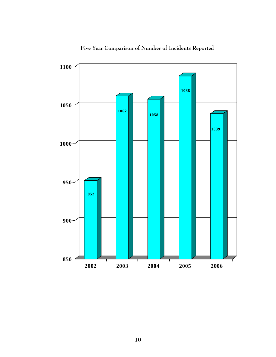

**Five Year Comparison of Number of Incidents Reported**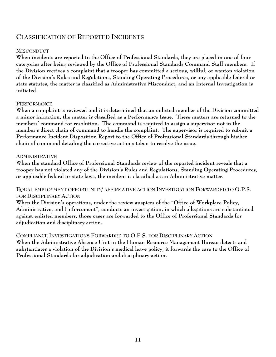## **CLASSIFICATION OF REPORTED INCIDENTS**

### **MISCONDUCT**

**When incidents are reported to the Office of Professional Standards, they are placed in one of four categories after being reviewed by the Office of Professional Standards Command Staff members. If the Division receives a complaint that a trooper has committed a serious, willful, or wanton violation of the Division's Rules and Regulations, Standing Operating Procedures, or any applicable federal or state statutes, the matter is classified as Administrative Misconduct, and an Internal Investigation is initiated.**

#### **PERFORMANCE**

**When a complaint is reviewed and it is determined that an enlisted member of the Division committed a minor infraction, the matter is classified as a Performance Issue. These matters are returned to the members' command for resolution. The command is required to assign a supervisor not in the member's direct chain of command to handle the complaint. The supervisor is required to submit a Performance Incident Disposition Report to the Office of Professional Standards through his/her chain of command detailing the corrective actions taken to resolve the issue.**

#### **ADMINISTRATIVE**

**When the standard Office of Professional Standards review of the reported incident reveals that a trooper has not violated any of the Division's Rules and Regulations, Standing Operating Procedures, or applicable federal or state laws, the incident is classified as an Administrative matter.**

**EQUAL EMPLOYMENT OPPORTUNITY/ AFFIRMATIVE ACTION INVESTIGATION FORWARDED TO O.P.S. FOR DISCIPLINARY ACTION**

**When the Division's operations, under the review auspices of the "Office of Workplace Policy, Administrative, and Enforcement", conducts an investigation, in which allegations are substantiated against enlisted members, those cases are forwarded to the Office of Professional Standards for adjudication and disciplinary action.**

**COMPLIANCE INVESTIGATIONS FORWARDED TO O.P.S. FOR DISCIPLINARY ACTION When the Administrative Absence Unit in the Human Resource Management Bureau detects and substantiates a violation of the Division's medical leave policy, it forwards the case to the Office of Professional Standards for adjudication and disciplinary action.**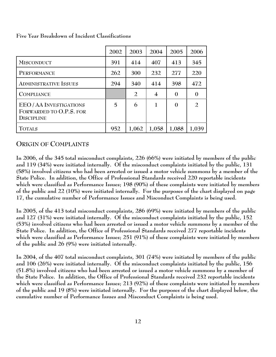|                                                                       | 2002 | 2003           | 2004           | 2005             | 2006             |
|-----------------------------------------------------------------------|------|----------------|----------------|------------------|------------------|
| <b>MISCONDUCT</b>                                                     | 391  | 414            | 407            | 413              | 345              |
| PERFORMANCE                                                           | 262  | 300            | 232            | 277              | 220              |
| <b>ADMINISTRATIVE ISSUES</b>                                          | 294  | 340            | 414            | 398              | 472              |
| <b>COMPLIANCE</b>                                                     |      | $\overline{2}$ | $\overline{4}$ | $\boldsymbol{0}$ | $\boldsymbol{0}$ |
| EEO/AA INVESTIGATIONS<br>FORWARDED TO O.P.S. FOR<br><b>DISCIPLINE</b> | 5    | 6              | $\mathbf{1}$   | $\Omega$         | $\overline{2}$   |
| <b>TOTALS</b>                                                         | 952  | 1,062          | 1,058          | 1,088            | 1,039            |

**Five Year Breakdown of Incident Classifications**

#### **ORIGIN OF COMPLAINTS**

**In 2006, of the 345 total misconduct complaints, 226 (66%) were initiated by members of the public and 119 (34%) were initiated internally. Of the misconduct complaints initiated by the public, 131 (58%) involved citizens who had been arrested or issued a motor vehicle summons by a member of the State Police. In addition, the Office of Professional Standards received 220 reportable incidents which were classified as Performance Issues; 198 (90%) of these complaints were initiated by members of the public and 22 (10%) were initiated internally. For the purposes of the chart displayed on page 17, the cumulative number of Performance Issues and Misconduct Complaints is being used.**

**In 2005, of the 413 total misconduct complaints, 286 (69%) were initiated by members of the public and 127 (31%) were initiated internally. Of the misconduct complaints initiated by the public, 152 (53%) involved citizens who had been arrested or issued a motor vehicle summons by a member of the State Police. In addition, the Office of Professional Standards received 277 reportable incidents which were classified as Performance Issues; 251 (91%) of these complaints were initiated by members of the public and 26 (9%) were initiated internally.** 

**In 2004, of the 407 total misconduct complaints, 301 (74%) were initiated by members of the public and 106 (26%) were initiated internally. Of the misconduct complaints initiated by the public, 156 (51.8%) involved citizens who had been arrested or issued a motor vehicle summons by a member of the State Police. In addition, the Office of Professional Standards received 232 reportable incidents which were classified as Performance Issues; 213 (92%) of these complaints were initiated by members of the public and 19 (8%) were initiated internally. For the purposes of the chart displayed below, the cumulative number of Performance Issues and Misconduct Complaints is being used.**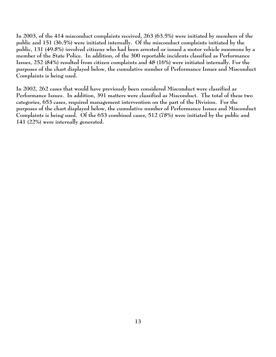**In 2003, of the 414 misconduct complaints received, 263 (63.5%) were initiated by members of the public and 151 (36.5%) were initiated internally. Of the misconduct complaints initiated by the public, 131 (49.8%) involved citizens who had been arrested or issued a motor vehicle summons by a member of the State Police. In addition, of the 300 reportable incidents classified as Performance Issues, 252 (84%) resulted from citizen complaints and 48 (16%) were initiated internally. For the purposes of the chart displayed below, the cumulative number of Performance Issues and Misconduct Complaints is being used.** 

**In 2002, 262 cases that would have previously been considered Misconduct were classified as Performance Issues. In addition, 391 matters were classified as Misconduct. The total of these two categories, 653 cases, required management intervention on the part of the Division. For the purposes of the chart displayed below, the cumulative number of Performance Issues and Misconduct Complaints is being used. Of the 653 combined cases, 512 (78%) were initiated by the public and 141 (22%) were internally generated.**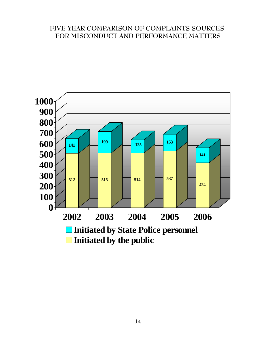## **FIVE YEAR COMPARISON OF COMPLAINTS SOURCES FOR MISCONDUCT AND PERFORMANCE MATTERS**

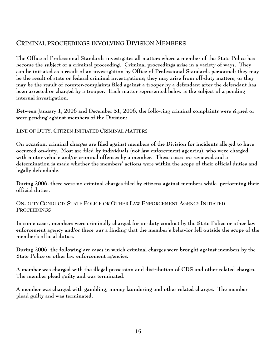## **CRIMINAL PROCEEDINGS INVOLVING DIVISION MEMBERS**

**The Office of Professional Standards investigates all matters where a member of the State Police has become the subject of a criminal proceeding. Criminal proceedings arise in a variety of ways. They can be initiated as a result of an investigation by Office of Professional Standards personnel; they may be the result of state or federal criminal investigations; they may arise from off-duty matters; or they may be the result of counter-complaints filed against a trooper by a defendant after the defendant has been arrested or charged by a trooper. Each matter represented below is the subject of a pending internal investigation.**

**Between January 1, 2006 and December 31, 2006, the following criminal complaints were signed or were pending against members of the Division:**

**LINE OF DUTY: CITIZEN INITIATED CRIMINAL MATTERS**

**On occasion, criminal charges are filed against members of the Division for incidents alleged to have occurred on-duty. Most are filed by individuals (not law enforcement agencies), who were charged with motor vehicle and/or criminal offenses by a member. These cases are reviewed and a determination is made whether the members' actions were within the scope of their official duties and legally defendable.** 

**During 2006, there were no criminal charges filed by citizens against members while performing their official duties.**

**ON-DUTY CONDUCT: STATE POLICE OR OTHER LAW ENFORCEMENT AGENCY INITIATED PROCEEDINGS**

**In some cases, members were criminally charged for on-duty conduct by the State Police or other law enforcement agency and/or there was a finding that the member's behavior fell outside the scope of the member's official duties.**

**During 2006, the following are cases in which criminal charges were brought against members by the State Police or other law enforcement agencies.**

**A member was charged with the illegal possession and distribution of CDS and other related charges. The member plead guilty and was terminated.**

**A member was charged with gambling, money laundering and other related charges. The member plead guilty and was terminated.**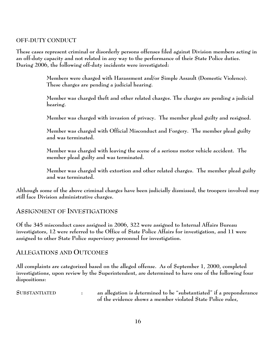#### **OFF-DUTY CONDUCT**

**These cases represent criminal or disorderly persons offenses filed against Division members acting in an off-duty capacity and not related in any way to the performance of their State Police duties. During 2006, the following off-duty incidents were investigated:**

> **Members were charged with Harassment and/or Simple Assault (Domestic Violence). These charges are pending a judicial hearing.**

**Member was charged theft and other related charges. The charges are pending a judicial hearing.**

**Member was charged with invasion of privacy. The member plead guilty and resigned.**

**Member was charged with Official Misconduct and Forgery. The member plead guilty and was terminated.**

**Member was charged with leaving the scene of a serious motor vehicle accident. The member plead guilty and was terminated.**

**Member was charged with extortion and other related charges. The member plead guilty and was terminated.**

**Although some of the above criminal charges have been judicially dismissed, the troopers involved may still face Division administrative charges.**

#### **ASSIGNMENT OF INVESTIGATIONS**

**Of the 345 misconduct cases assigned in 2006, 322 were assigned to Internal Affairs Bureau investigators, 12 were referred to the Office of State Police Affairs for investigation, and 11 were assigned to other State Police supervisory personnel for investigation.**

#### **ALLEGATIONS AND OUTCOMES**

**All complaints are categorized based on the alleged offense. As of September 1, 2000, completed investigations, upon review by the Superintendent, are determined to have one of the following four dispositions:**

**SUBSTANTIATED : an allegation is determined to be "substantiated" if a preponderance of the evidence shows a member violated State Police rules,**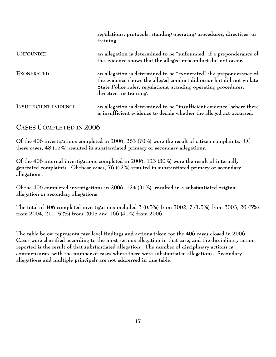|                              |                | regulations, protocols, standing operating procedures, directives, or<br>training                                                                                                                                                          |
|------------------------------|----------------|--------------------------------------------------------------------------------------------------------------------------------------------------------------------------------------------------------------------------------------------|
| <b>UNFOUNDED</b>             | $\ddot{\cdot}$ | an allegation is determined to be "unfounded" if a preponderance of<br>the evidence shows that the alleged misconduct did not occur.                                                                                                       |
| <b>EXONERATED</b>            | $\ddot{\cdot}$ | an allegation is determined to be "exonerated" if a preponderance of<br>the evidence shows the alleged conduct did occur but did not violate<br>State Police rules, regulations, standing operating procedures,<br>directives or training. |
| <b>INSUFFICIENT EVIDENCE</b> |                | an allegation is determined to be "insufficient evidence" where there<br>is insufficient evidence to decide whether the alleged act occurred.                                                                                              |

## **CASES COMPLETED IN 2006**

**Of the 406 investigations completed in 2006, 283 (70%) were the result of citizen complaints. Of these cases, 48 (17%) resulted in substantiated primary or secondary allegations.**

**Of the 406 internal investigations completed in 2006, 123 (30%) were the result of internally generated complaints. Of these cases, 76 (62%) resulted in substantiated primary or secondary allegations.**

**Of the 406 completed investigations in 2006, 124 (31%) resulted in a substantiated original allegation or secondary allegations.**

**The total of 406 completed investigations included 2 (0.5%) from 2002, 7 (1.5%) from 2003, 20 (5%) from 2004, 211 (52%) from 2005 and 166 (41%) from 2006.**

**The table below represents case level findings and actions taken for the 406 cases closed in 2006. Cases were classified according to the most serious allegation in that case, and the disciplinary action reported is the result of that substantiated allegation. The number of disciplinary actions is commensurate with the number of cases where there were substantiated allegations. Secondary allegations and multiple principals are not addressed in this table.**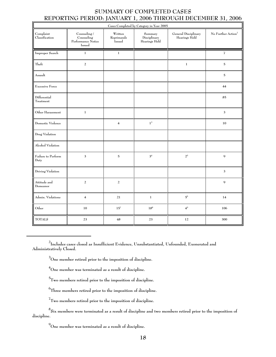#### **SUMMARY OF COMPLETED CASES REPORTING PERIOD: JANUARY 1, 2006 THROUGH DECEMBER 31, 2006**

| Cases Completed by Category in Year 2005 |                                                            |                                 |                                          |                                       |                                |
|------------------------------------------|------------------------------------------------------------|---------------------------------|------------------------------------------|---------------------------------------|--------------------------------|
| Complaint<br>Classification              | Counseling /<br>Counseling<br>Performance Notice<br>Issued | Written<br>Reprimands<br>Issued | Summary<br>Disciplinary<br>Hearings Held | General Disciplinary<br>Hearings Held | No Further Action <sup>2</sup> |
| Improper Search                          | $\mathbf 1$                                                | $\mathbf{1}$                    |                                          |                                       | $\overline{\bf 7}$             |
| Theft                                    | $\overline{a}$                                             |                                 |                                          | $\mathbf 1$                           | $\mathbf 5$                    |
| Assault                                  |                                                            |                                 |                                          |                                       | $\overline{5}$                 |
| <b>Excessive Force</b>                   |                                                            |                                 |                                          |                                       | 44                             |
| Differential<br>Treatment                |                                                            |                                 |                                          |                                       | 85                             |
| Other Harassment                         | $\,1$                                                      |                                 |                                          |                                       | $\mathbf{3}$                   |
| Domestic Violence                        |                                                            | $\overline{\mathbf{4}}$         | $1^3$                                    |                                       | 10                             |
| Drug Violation                           |                                                            |                                 |                                          |                                       |                                |
| Alcohol Violation                        |                                                            |                                 |                                          |                                       |                                |
| Failure to Perform<br>Duty               | 3                                                          | $\mathbf 5$                     | 3 <sup>4</sup>                           | $2^5$                                 | $\mathbf{9}$                   |
| Driving Violation                        |                                                            |                                 |                                          |                                       | $\mathbf{3}$                   |
| Attitude and<br>Demeanor                 | $\overline{a}$                                             | $\sqrt{2}$                      |                                          |                                       | $\mathbf{Q}$                   |
| Admin. Violations                        | $\bf 4$                                                    | 21                              | $\,1$                                    | $5^6\,$                               | 14                             |
| Other                                    | 10                                                         | $15^7$                          | $18^8$                                   | $4^9$                                 | 106                            |
| <b>TOTALS</b>                            | 23                                                         | 48                              | 23                                       | 12                                    | 300                            |

**2 Includes cases closed as Insufficient Evidence, Unsubstantiated, Unfounded, Exonerated and Administratively Closed.**

**3 One member retired prior to the imposition of discipline.**

**4 One member was terminated as a result of discipline.**

**5 Two members retired prior to the imposition of discipline.** 

**6 Three members retired prior to the imposition of discipline.**

**7 Two members retired prior to the imposition of discipline.** 

**8 Six members were terminated as a result of discipline and two members retired prior to the imposition of discipline.**

**9 One member was terminated as a result of discipline.**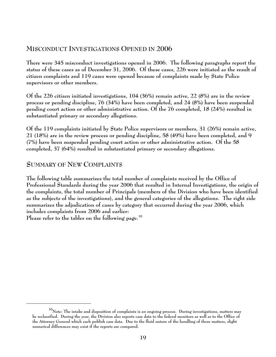## **MISCONDUCT INVESTIGATIONS OPENED IN 2006**

**There were 345 misconduct investigations opened in 2006. The following paragraphs report the status of these cases as of December 31, 2006. Of these cases, 226 were initiated as the result of citizen complaints and 119 cases were opened because of complaints made by State Police supervisors or other members.** 

**Of the 226 citizen initiated investigations, 104 (36%) remain active, 22 (8%) are in the review process or pending discipline, 76 (34%) have been completed, and 24 (8%) have been suspended pending court action or other administrative action. Of the 76 completed, 18 (24%) resulted in substantiated primary or secondary allegations.**

**Of the 119 complaints initiated by State Police supervisors or members, 31 (26%) remain active, 21 (18%) are in the review process or pending discipline, 58 (49%) have been completed, and 9 (7%) have been suspended pending court action or other administrative action. Of the 58 completed, 37 (64%) resulted in substantiated primary or secondary allegations.**

## **SUMMARY OF NEW COMPLAINTS**

**The following table summarizes the total number of complaints received by the Office of Professional Standards during the year 2006 that resulted in Internal Investigations, the origin of the complaints, the total number of Principals (members of the Division who have been identified as the subjects of the investigations), and the general categories of the allegations. The right side summarizes the adjudication of cases by category that occurred during the year 2006, which includes complaints from 2006 and earlier:**

**Please refer to the tables on the following page.<sup>10</sup>**

**<sup>10</sup>Note: The intake and disposition of complaints is an ongoing process. During investigations, matters may be reclassified. During the year, the Division also reports case data to the federal monitors as well as to the Office of the Attorney General which each publish case data. Due to the fluid nature of the handling of these matters, slight numerical differences may exist if the reports are compared.**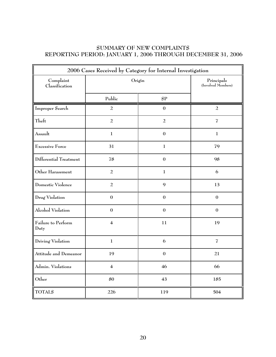### **SUMMARY OF NEW COMPLAINTS REPORTING PERIOD: JANUARY 1, 2006 THROUGH DECEMBER 31, 2006**

| 2006 Cases Received by Category for Internal Investigation |                         |                                  |                  |  |
|------------------------------------------------------------|-------------------------|----------------------------------|------------------|--|
| Complaint<br>Classification                                | Origin                  | Principals<br>(Involved Members) |                  |  |
|                                                            | Public                  | SP                               |                  |  |
| Improper Search                                            | $\overline{a}$          | $\mathbf{0}$                     | $\overline{a}$   |  |
| Theft                                                      | $\overline{a}$          | $\overline{a}$                   | $\overline{I}$   |  |
| Assault                                                    | $\mathbf{1}$            | $\boldsymbol{0}$                 | $\mathbf{1}$     |  |
| <b>Excessive Force</b>                                     | 31                      | $\mathbf{1}$                     | 79               |  |
| Differential Treatment                                     | 78                      | $\boldsymbol{0}$                 | 98               |  |
| Other Harassment                                           | $\overline{a}$          | $\mathbf{1}$                     | 6                |  |
| Domestic Violence                                          | $\overline{a}$          | 9                                | 13               |  |
| Drug Violation                                             | $\boldsymbol{0}$        | $\boldsymbol{0}$                 | $\boldsymbol{0}$ |  |
| Alcohol Violation                                          | $\boldsymbol{0}$        | $\boldsymbol{0}$                 | $\boldsymbol{0}$ |  |
| Failure to Perform<br>Duty                                 | $\overline{\mathbf{4}}$ | 11                               | 19               |  |
| Driving Violation                                          | $\mathbf{1}$            | 6                                | $\overline{I}$   |  |
| Attitude and Demeanor                                      | 19                      | $\boldsymbol{0}$                 | 21               |  |
| Admin. Violations                                          | 4                       | 46                               | 66               |  |
| Other                                                      | 80                      | 43                               | 185              |  |
| <b>TOTALS</b>                                              | 226                     | 119                              | 504              |  |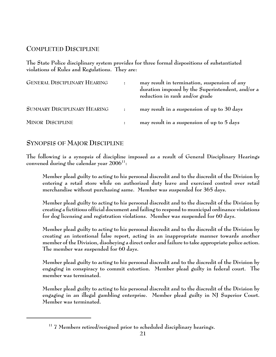## **COMPLETED DISCIPLINE**

**The State Police disciplinary system provides for three formal dispositions of substantiated violations of Rules and Regulations. They are:**

| <b>GENERAL DISCIPLINARY HEARING</b> | may result in termination, suspension of any<br>duration imposed by the Superintendent, and/or a<br>reduction in rank and/or grade |
|-------------------------------------|------------------------------------------------------------------------------------------------------------------------------------|
| <b>SUMMARY DISCIPLINARY HEARING</b> | may result in a suspension of up to 30 days                                                                                        |
| <b>MINOR DISCIPLINE</b>             | may result in a suspension of up to 5 days                                                                                         |

## **SYNOPSIS OF MAJOR DISCIPLINE**

**The following is a synopsis of discipline imposed as a result of General Disciplinary Hearings convened during the calendar year 200611:**

**Member plead guilty to acting to his personal discredit and to the discredit of the Division by entering a retail store while on authorized duty leave and exercised control over retail merchandise without purchasing same. Member was suspended for 365 days.**

**Member plead guilty to acting to his personal discredit and to the discredit of the Division by creating a fictitious official document and failing to respond to municipal ordinance violations for dog licensing and registration violations. Member was suspended for 60 days.**

**Member plead guilty to acting to his personal discredit and to the discredit of the Division by creating an intentional false report, acting in an inappropriate manner towards another member of the Division, disobeying a direct order and failure to take appropriate police action. The member was suspended for 60 days.**

**Member plead guilty to acting to his personal discredit and to the discredit of the Division by engaging in conspiracy to commit extortion. Member plead guilty in federal court. The member was terminated.**

**Member plead guilty to acting to his personal discredit and to the discredit of the Division by engaging in an illegal gambling enterprise. Member plead guilty in NJ Superior Court. Member was terminated.**

**<sup>11 7</sup> Members retired/resigned prior to scheduled disciplinary hearings.**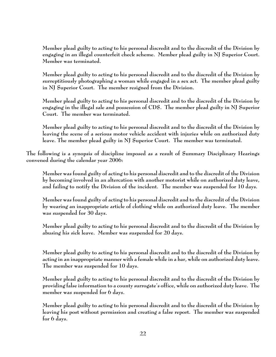**Member plead guilty to acting to his personal discredit and to the discredit of the Division by engaging in an illegal counterfeit check scheme. Member plead guilty in NJ Superior Court. Member was terminated.**

**Member plead guilty to acting to his personal discredit and to the discredit of the Division by surreptitiously photographing a woman while engaged in a sex act. The member plead guilty in NJ Superior Court. The member resigned from the Division.**

**Member plead guilty to acting to his personal discredit and to the discredit of the Division by engaging in the illegal sale and possession of CDS. The member plead guilty in NJ Superior Court. The member was terminated.**

**Member plead guilty to acting to his personal discredit and to the discredit of the Division by leaving the scene of a serious motor vehicle accident with injuries while on authorized duty leave. The member plead guilty in NJ Superior Court. The member was terminated.**

**The following is a synopsis of discipline imposed as a result of Summary Disciplinary Hearings convened during the calendar year 2006:**

**Member was found guilty of acting to his personal discredit and to the discredit of the Division by becoming involved in an altercation with another motorist while on authorized duty leave, and failing to notify the Division of the incident. The member was suspended for 10 days.** 

**Member was found guilty of acting to his personal discredit and to the discredit of the Division by wearing an inappropriate article of clothing while on authorized duty leave. The member was suspended for 30 days.**

**Member plead guilty to acting to his personal discredit and to the discredit of the Division by abusing his sick leave. Member was suspended for 20 days.** 

**Member plead guilty to acting to his personal discredit and to the discredit of the Division by acting in an inappropriate manner with a female while in a bar, while on authorized duty leave. The member was suspended for 10 days.**

**Member plead guilty to acting to his personal discredit and to the discredit of the Division by providing false information to a county surrogate's office, while on authorized duty leave. The member was suspended for 6 days.** 

**Member plead guilty to acting to his personal discredit and to the discredit of the Division by leaving his post without permission and creating a false report. The member was suspended for 6 days.**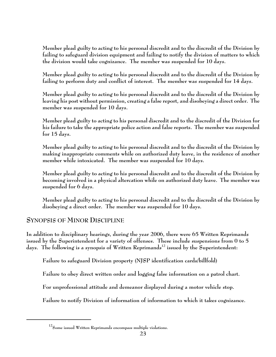**Member plead guilty to acting to his personal discredit and to the discredit of the Division by failing to safeguard division equipment and failing to notify the division of matters to which the division would take cognizance. The member was suspended for 10 days.** 

**Member plead guilty to acting to his personal discredit and to the discredit of the Division by failing to perform duty and conflict of interest. The member was suspended for 14 days.** 

**Member plead guilty to acting to his personal discredit and to the discredit of the Division by leaving his post without permission, creating a false report, and disobeying a direct order. The member was suspended for 10 days.** 

**Member plead guilty to acting to his personal discredit and to the discredit of the Division for his failure to take the appropriate police action and false reports. The member was suspended for 15 days.** 

**Member plead guilty to acting to his personal discredit and to the discredit of the Division by making inappropriate comments while on authorized duty leave, in the residence of another member while intoxicated. The member was suspended for 10 days.** 

**Member plead guilty to acting to his personal discredit and to the discredit of the Division by becoming involved in a physical altercation while on authorized duty leave. The member was suspended for 6 days.** 

**Member plead guilty to acting to his personal discredit and to the discredit of the Division by disobeying a direct order. The member was suspended for 10 days.** 

## **SYNOPSIS OF MINOR DISCIPLINE**

**In addition to disciplinary hearings, during the year 2006, there were 65 Written Reprimands issued by the Superintendent for a variety of offenses. These include suspensions from 0 to 5 days. The following is a synopsis of Written Reprimands12 issued by the Superintendent:**

**Failure to safeguard Division property (NJSP identification cards/billfold)**

**Failure to obey direct written order and logging false information on a patrol chart.**

**For unprofessional attitude and demeanor displayed during a motor vehicle stop.**

**Failure to notify Division of information of information to which it takes cognizance.** 

**<sup>12</sup>Some issued Written Reprimands encompass multiple violations.**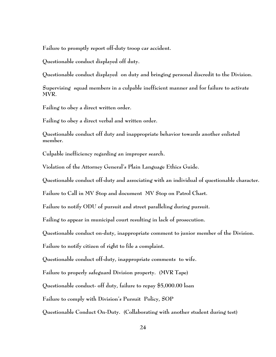**Failure to promptly report off-duty troop car accident.**

**Questionable conduct displayed off duty.**

**Questionable conduct displayed on duty and bringing personal discredit to the Division.** 

**Supervising squad members in a culpable inefficient manner and for failure to activate MVR.**

**Failing to obey a direct written order.** 

**Failing to obey a direct verbal and written order.** 

**Questionable conduct off duty and inappropriate behavior towards another enlisted member.**

**Culpable inefficiency regarding an improper search.**

**Violation of the Attorney General's Plain Language Ethics Guide.**

**Questionable conduct off-duty and associating with an individual of questionable character.**

**Failure to Call in MV Stop and document MV Stop on Patrol Chart.**

**Failure to notify ODU of pursuit and street paralleling during pursuit.**

**Failing to appear in municipal court resulting in lack of prosecution.**

**Questionable conduct on-duty, inappropriate comment to junior member of the Division.**

**Failure to notify citizen of right to file a complaint.**

**Questionable conduct off-duty, inappropriate comments to wife.**

**Failure to properly safeguard Division property. (MVR Tape)**

**Questionable conduct- off duty, failure to repay \$5,000.00 loan** 

**Failure to comply with Division's Pursuit Policy, SOP**

**Questionable Conduct On-Duty. (Collaborating with another student during test)**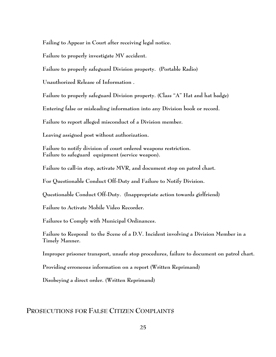**Failing to Appear in Court after receiving legal notice.**

**Failure to properly investigate MV accident.** 

**Failure to properly safeguard Division property. (Portable Radio)**

**Unauthorized Release of Information .**

**Failure to properly safeguard Division property. (Class "A" Hat and hat badge)**

**Entering false or misleading information into any Division book or record.**

**Failure to report alleged misconduct of a Division member.**

**Leaving assigned post without authorization.**

**Failure to notify division of court ordered weapons restriction. Failure to safeguard equipment (service weapon).**

**Failure to call-in stop, activate MVR, and document stop on patrol chart.**

**For Questionable Conduct Off-Duty and Failure to Notify Division.**

**Questionable Conduct Off-Duty. (Inappropriate action towards girlfriend)**

**Failure to Activate Mobile Video Recorder.**

**Failures to Comply with Municipal Ordinances.**

**Failure to Respond to the Scene of a D.V. Incident involving a Division Member in a Timely Manner.**

**Improper prisoner transport, unsafe stop procedures, failure to document on patrol chart.** 

**Providing erroneous information on a report (Written Reprimand)**

**Disobeying a direct order. (Written Reprimand)**

#### **PROSECUTIONS FOR FALSE CITIZEN COMPLAINTS**